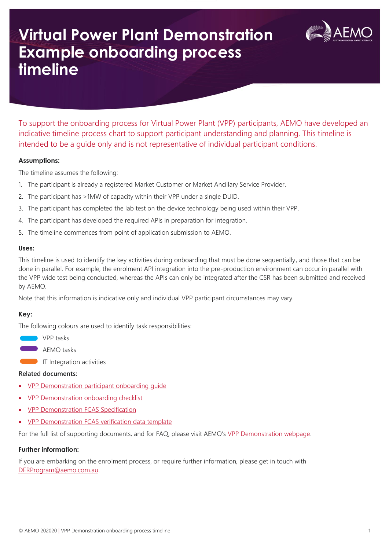# **Virtual Power Plant Demonstration Example onboarding process timeline**



To support the onboarding process for Virtual Power Plant (VPP) participants, AEMO have developed an indicative timeline process chart to support participant understanding and planning. This timeline is intended to be a guide only and is not representative of individual participant conditions.

## **Assumptions:**

The timeline assumes the following:

- 1. The participant is already a registered Market Customer or Market Ancillary Service Provider.
- 2. The participant has >1MW of capacity within their VPP under a single DUID.
- 3. The participant has completed the lab test on the device technology being used within their VPP.
- 4. The participant has developed the required APIs in preparation for integration.
- 5. The timeline commences from point of application submission to AEMO.

## **Uses:**

This timeline is used to identify the key activities during onboarding that must be done sequentially, and those that can be done in parallel. For example, the enrolment API integration into the pre-production environment can occur in parallel with the VPP wide test being conducted, whereas the APIs can only be integrated after the CSR has been submitted and received by AEMO.

Note that this information is indicative only and individual VPP participant circumstances may vary.

## **Key:**

The following colours are used to identify task responsibilities:

**VPP** tasks

**AEMO** tasks

**IT Integration activities** 

## **Related documents:**

- [VPP Demonstration participant onboarding guide](https://aemo.com.au/-/media/files/electricity/der/2020/vpp-demonstrations-participant-onboarding.pdf?la=en)
- [VPP Demonstration onboarding checklist](https://aemo.com.au/-/media/files/electricity/der/2020/vpp-demonstrations-checklist.pdf?la=en)
- [VPP Demonstration FCAS Specification](https://aemo.com.au/-/media/files/electricity/nem/der/2019/vpp-demonstrations/vpp-demonstrations-fcas-specification.pdf?la=en&hash=35E31F52BD6973005E03F0279421F98E)
- [VPP Demonstration FCAS verification data template](https://aemo.com.au/-/media/files/electricity/der/2020/vpp-demonstrations-data-template_v2.xlsx?la=en)

For the full list of supporting documents, and for FAQ, please visit AEMO's [VPP Demonstration webpage.](https://aemo.com.au/initiatives/major-programs/nem-distributed-energy-resources-der-program/pilots-and-trials/virtual-power-plant-vpp-demonstrations)

## **Further information:**

If you are embarking on the enrolment process, or require further information, please get in touch with [DERProgram@aemo.com.au.](mailto:DERProgram@aemo.com.au)